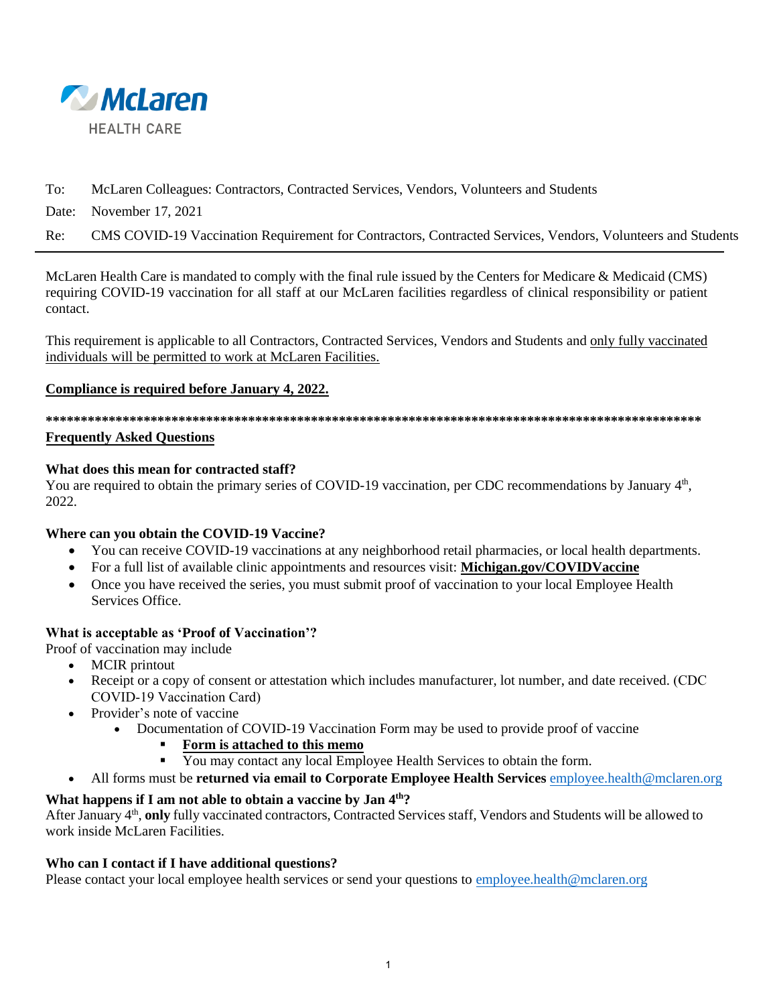

# To: McLaren Colleagues: Contractors, Contracted Services, Vendors, Volunteers and Students

Date: November 17, 2021

Re: CMS COVID-19 Vaccination Requirement for Contractors, Contracted Services, Vendors, Volunteers and Students

McLaren Health Care is mandated to comply with the final rule issued by the Centers for Medicare & Medicaid (CMS) requiring COVID-19 vaccination for all staff at our McLaren facilities regardless of clinical responsibility or patient contact.

This requirement is applicable to all Contractors, Contracted Services, Vendors and Students and only fully vaccinated individuals will be permitted to work at McLaren Facilities.

#### **Compliance is required before January 4, 2022.**

**\*\*\*\*\*\*\*\*\*\*\*\*\*\*\*\*\*\*\*\*\*\*\*\*\*\*\*\*\*\*\*\*\*\*\*\*\*\*\*\*\*\*\*\*\*\*\*\*\*\*\*\*\*\*\*\*\*\*\*\*\*\*\*\*\*\*\*\*\*\*\*\*\*\*\*\*\*\*\*\*\*\*\*\*\*\*\*\*\*\*\*\*\*\*** 

#### **Frequently Asked Questions**

#### **What does this mean for contracted staff?**

You are required to obtain the primary series of COVID-19 vaccination, per CDC recommendations by January 4<sup>th</sup>, 2022.

# **Where can you obtain the COVID-19 Vaccine?**

- You can receive COVID-19 vaccinations at any neighborhood retail pharmacies, or local health departments.
- For a full list of available clinic appointments and resources visit: **Michigan.gov/COVIDVaccine**
- Once you have received the series, you must submit proof of vaccination to your local Employee Health Services Office.

# **What is acceptable as 'Proof of Vaccination'?**

- Proof of vaccination may include
	- MCIR printout
	- Receipt or a copy of consent or attestation which includes manufacturer, lot number, and date received. (CDC COVID-19 Vaccination Card)
	- Provider's note of vaccine
		- Documentation of COVID-19 Vaccination Form may be used to provide proof of vaccine
			- **Form is attached to this memo**
			- You may contact any local Employee Health Services to obtain t[he form.](mailto:employee.health@mclaren.org)
	- All forms must be **returned via email to Corporate Employee Health Services** employee.health@mclaren.org

# **What happens if I am not able to obtain a vaccine by Jan 4th?**

After January 4<sup>th</sup>, only fully vaccinated contractors, Contracted Services staff, Vendors and Students will be allowed to work inside McLaren Facilities.

# **Who can I contact if I have additional questions?**

Please contact your local employee health services or send your questions to [employee.health@mclaren.org](mailto:employee.health@mclaren.org)